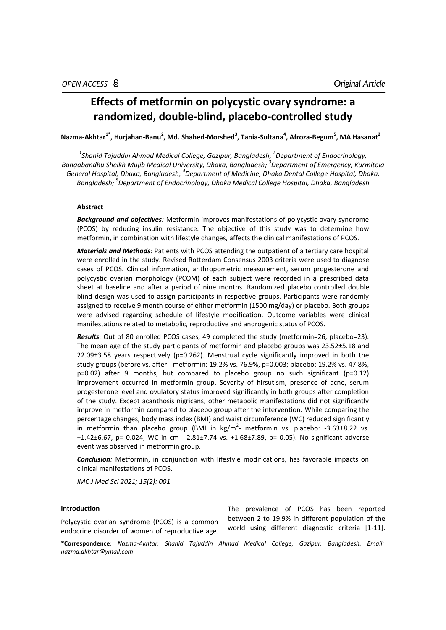# **Effects of metformin on polycystic ovary syndrome: a randomized, double-blind, placebo-controlled study**

**Nazma-Akhtar1\*, Hurjahan-Banu<sup>2</sup> , Md. Shahed-Morshed<sup>3</sup> , Tania-Sultana<sup>4</sup> , Afroza-Begum<sup>5</sup> , MA Hasanat<sup>2</sup>**

*1 Shahid Tajuddin Ahmad Medical College, Gazipur, Bangladesh; 2 Department of Endocrinology, Bangabandhu Sheikh Mujib Medical University, Dhaka, Bangladesh; 3 Department of Emergency, Kurmitola General Hospital, Dhaka, Bangladesh; 4 Department of Medicine, Dhaka Dental College Hospital, Dhaka, Bangladesh; 5 Department of Endocrinology, Dhaka Medical College Hospital, Dhaka, Bangladesh*

# **Abstract**

*Background and objectives:* Metformin improves manifestations of polycystic ovary syndrome (PCOS) by reducing insulin resistance. The objective of this study was to determine how metformin, in combination with lifestyle changes, affects the clinical manifestations of PCOS.

*Materials and Methods:* Patients with PCOS attending the outpatient of a tertiary care hospital were enrolled in the study. Revised Rotterdam Consensus 2003 criteria were used to diagnose cases of PCOS. Clinical information, anthropometric measurement, serum progesterone and polycystic ovarian morphology (PCOM) of each subject were recorded in a prescribed data sheet at baseline and after a period of nine months. Randomized placebo controlled double blind design was used to assign participants in respective groups. Participants were randomly assigned to receive 9 month course of either metformin (1500 mg/day) or placebo. Both groups were advised regarding schedule of lifestyle modification. Outcome variables were clinical manifestations related to metabolic, reproductive and androgenic status of PCOS.

*Results:* Out of 80 enrolled PCOS cases, 49 completed the study (metformin=26, placebo=23). The mean age of the study participants of metformin and placebo groups was 23.52±5.18 and 22.09±3.58 years respectively (p=0.262). Menstrual cycle significantly improved in both the study groups (before vs. after - metformin: 19.2% vs. 76.9%, p=0.003; placebo: 19.2% vs. 47.8%, p=0.02) after 9 months, but compared to placebo group no such significant (p=0.12) improvement occurred in metformin group. Severity of hirsutism, presence of acne, serum progesterone level and ovulatory status improved significantly in both groups after completion of the study. Except acanthosis nigricans, other metabolic manifestations did not significantly improve in metformin compared to placebo group after the intervention. While comparing the percentage changes, body mass index (BMI) and waist circumference (WC) reduced significantly in metformin than placebo group (BMI in  $\text{kg/m}^2$ - metformin vs. placebo: -3.63±8.22 vs. +1.42±6.67, p= 0.024; WC in cm - 2.81±7.74 vs. +1.68±7.89, p= 0.05). No significant adverse event was observed in metformin group.

*Conclusion:* Metformin, in conjunction with lifestyle modifications, has favorable impacts on clinical manifestations of PCOS.

*IMC J Med Sci 2021; 15(2): 001*

# **Introduction**

Polycystic ovarian syndrome (PCOS) is a common endocrine disorder of women of reproductive age.

The prevalence of PCOS has been reported between 2 to 19.9% in different population of the world using different diagnostic criteria [1-11].

**\*Correspondence**: *Nazma-Akhtar, Shahid Tajuddin Ahmad Medical College, Gazipur, Bangladesh. Email: [nazma.akhtar@ymail.com](mailto:nazma.akhtar@ymail.com)*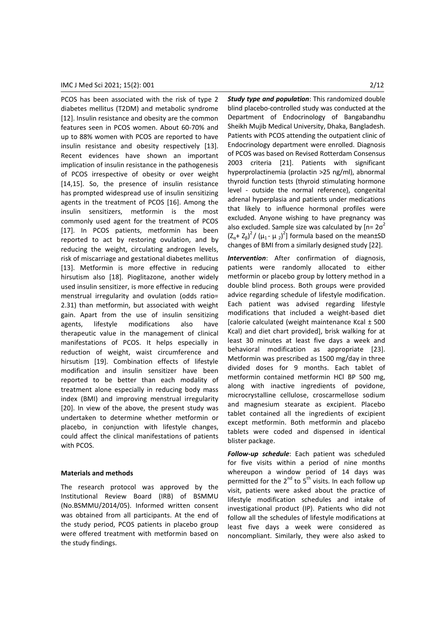PCOS has been associated with the risk of type 2 diabetes mellitus (T2DM) and metabolic syndrome [12]. Insulin resistance and obesity are the common features seen in PCOS women. About 60-70% and up to 88% women with PCOS are reported to have insulin resistance and obesity respectively [13]. Recent evidences have shown an important implication of insulin resistance in the pathogenesis of PCOS irrespective of obesity or over weight [14,15]. So, the presence of insulin resistance has prompted widespread use of insulin sensitizing agents in the treatment of PCOS [16]. Among the insulin sensitizers, metformin is the most commonly used agent for the treatment of PCOS [17]. In PCOS patients, metformin has been reported to act by restoring ovulation, and by reducing the weight, circulating androgen levels, risk of miscarriage and gestational diabetes mellitus [13]. Metformin is more effective in reducing hirsutism also [18]. Pioglitazone, another widely used insulin sensitizer, is more effective in reducing menstrual irregularity and ovulation (odds ratio= 2.31) than metformin, but associated with weight gain. Apart from the use of insulin sensitizing agents, lifestyle modifications also have therapeutic value in the management of clinical manifestations of PCOS. It helps especially in reduction of weight, waist circumference and hirsutism [19]. Combination effects of lifestyle modification and insulin sensitizer have been reported to be better than each modality of treatment alone especially in reducing body mass index (BMI) and improving menstrual irregularity [20]. In view of the above, the present study was undertaken to determine whether metformin or placebo, in conjunction with lifestyle changes, could affect the clinical manifestations of patients with PCOS.

#### **Materials and methods**

The research protocol was approved by the Institutional Review Board (IRB) of BSMMU (No.BSMMU/2014/05). Informed written consent was obtained from all participants. At the end of the study period, PCOS patients in placebo group were offered treatment with metformin based on the study findings.

*Study type and population*: This randomized double blind placebo-controlled study was conducted at the Department of Endocrinology of Bangabandhu Sheikh Mujib Medical University, Dhaka, Bangladesh. Patients with PCOS attending the outpatient clinic of Endocrinology department were enrolled. Diagnosis of PCOS was based on Revised Rotterdam Consensus 2003 criteria [21]. Patients with significant hyperprolactinemia (prolactin >25 ng/ml), abnormal thyroid function tests (thyroid stimulating hormone level - outside the normal reference), congenital adrenal hyperplasia and patients under medications that likely to influence hormonal profiles were excluded. Anyone wishing to have pregnancy was also excluded. Sample size was calculated by  $[n=2\sigma^2]$  $(Z_{\alpha}+Z_{\beta})^2/(\mu_1-\mu_2)^2$ ] formula based on the mean±SD changes of BMI from a similarly designed study [22].

*Intervention*: After confirmation of diagnosis, patients were randomly allocated to either metformin or placebo group by lottery method in a double blind process. Both groups were provided advice regarding schedule of lifestyle modification. Each patient was advised regarding lifestyle modifications that included a weight-based diet [calorie calculated (weight maintenance Kcal ± 500 Kcal) and diet chart provided], brisk walking for at least 30 minutes at least five days a week and behavioral modification as appropriate [23]. Metformin was prescribed as 1500 mg/day in three divided doses for 9 months. Each tablet of metformin contained metformin HCl BP 500 mg, along with inactive ingredients of povidone, microcrystalline cellulose, croscarmellose sodium and magnesium stearate as excipient. Placebo tablet contained all the ingredients of excipient except metformin. Both metformin and placebo tablets were coded and dispensed in identical blister package.

*Follow-up schedule*: Each patient was scheduled for five visits within a period of nine months whereupon a window period of 14 days was permitted for the  $2^{nd}$  to  $5^{th}$  visits. In each follow up visit, patients were asked about the practice of lifestyle modification schedules and intake of investigational product (IP). Patients who did not follow all the schedules of lifestyle modifications at least five days a week were considered as noncompliant. Similarly, they were also asked to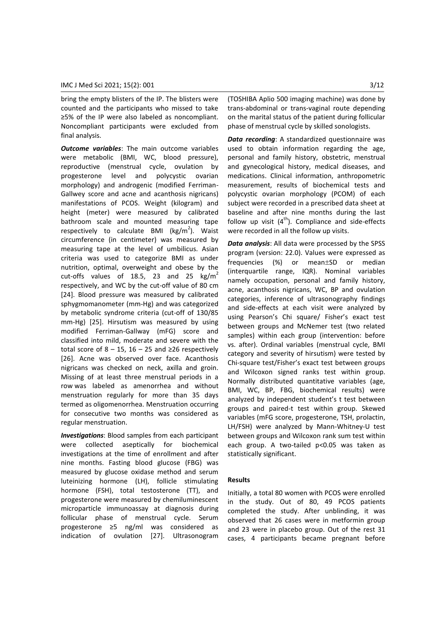bring the empty blisters of the IP. The blisters were counted and the participants who missed to take ≥5% of the IP were also labeled as noncompliant. Noncompliant participants were excluded from final analysis.

*Outcome variables*: The main outcome variables were metabolic (BMI, WC, blood pressure), reproductive (menstrual cycle, ovulation by progesterone level and polycystic ovarian morphology) and androgenic (modified Ferriman-Gallwey score and acne and acanthosis nigricans) manifestations of PCOS. Weight (kilogram) and height (meter) were measured by calibrated bathroom scale and mounted measuring tape respectively to calculate BMI ( $\text{kg/m}^2$ ). Waist circumference (in centimeter) was measured by measuring tape at the level of umbilicus. Asian criteria was used to categorize BMI as under nutrition, optimal, overweight and obese by the cut-offs values of 18.5, 23 and 25  $\text{kg/m}^2$ respectively, and WC by the cut-off value of 80 cm [24]. Blood pressure was measured by calibrated sphygmomanometer (mm-Hg) and was categorized by metabolic syndrome criteria (cut-off of 130/85 mm-Hg) [25]. Hirsutism was measured by using modified Ferriman-Gallway (mFG) score and classified into mild, moderate and severe with the total score of  $8 − 15$ ,  $16 − 25$  and  $≥26$  respectively [26]. Acne was observed over face. Acanthosis nigricans was checked on neck, axilla and groin. Missing of at least three menstrual periods in a row was labeled as amenorrhea and without menstruation regularly for more than 35 days termed as oligomenorrhea. Menstruation occurring for consecutive two months was considered as regular menstruation.

*Investigations*: Blood samples from each participant were collected aseptically for biochemical investigations at the time of enrollment and after nine months. Fasting blood glucose (FBG) was measured by glucose oxidase method and serum luteinizing hormone (LH), follicle stimulating hormone (FSH), total testosterone (TT), and progesterone were measured by chemiluminescent microparticle immunoassay at diagnosis during follicular phase of menstrual cycle. Serum progesterone ≥5 ng/ml was considered as indication of ovulation [27]. Ultrasonogram

(TOSHIBA Aplio 500 imaging machine) was done by trans-abdominal or trans-vaginal route depending on the marital status of the patient during follicular phase of menstrual cycle by skilled sonologists.

*Data recording*: A standardized questionnaire was used to obtain information regarding the age, personal and family history, obstetric, menstrual and gynecological history, medical diseases, and medications. Clinical information, anthropometric measurement, results of biochemical tests and polycystic ovarian morphology (PCOM) of each subject were recorded in a prescribed data sheet at baseline and after nine months during the last follow up visit  $(4<sup>th</sup>)$ . Compliance and side-effects were recorded in all the follow up visits.

*Data analysis*: All data were processed by the SPSS program (version: 22.0). Values were expressed as frequencies (%) or mean $\pm$ SD or median (interquartile range, IQR). Nominal variables namely occupation, personal and family history, acne, acanthosis nigricans, WC, BP and ovulation categories, inference of ultrasonography findings and side-effects at each visit were analyzed by using Pearson's Chi square/ Fisher's exact test between groups and McNemer test (two related samples) within each group (intervention: before vs. after). Ordinal variables (menstrual cycle, BMI category and severity of hirsutism) were tested by Chi-square test/Fisher's exact test between groups and Wilcoxon signed ranks test within group. Normally distributed quantitative variables (age, BMI, WC, BP, FBG, biochemical results) were analyzed by independent student's t test between groups and paired-t test within group. Skewed variables (mFG score, progesterone, TSH, prolactin, LH/FSH) were analyzed by Mann-Whitney-U test between groups and Wilcoxon rank sum test within each group. A two-tailed p<0.05 was taken as statistically significant.

#### **Results**

Initially, a total 80 women with PCOS were enrolled in the study. Out of 80, 49 PCOS patients completed the study. After unblinding, it was observed that 26 cases were in metformin group and 23 were in placebo group. Out of the rest 31 cases, 4 participants became pregnant before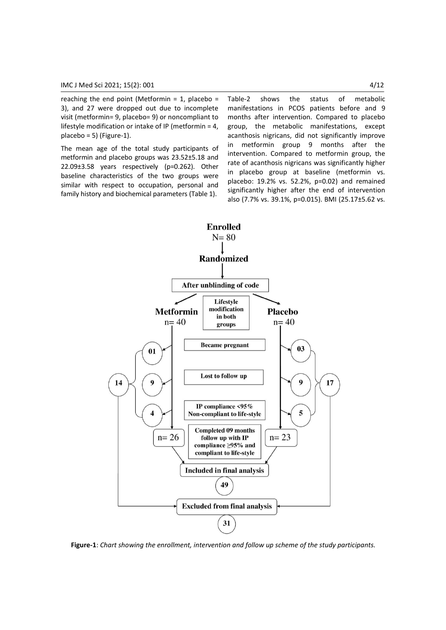reaching the end point (Metformin =  $1$ , placebo = 3), and 27 were dropped out due to incomplete visit (metformin= 9, placebo= 9) or noncompliant to lifestyle modification or intake of IP (metformin = 4, placebo = 5) (Figure-1).

The mean age of the total study participants of metformin and placebo groups was 23.52±5.18 and 22.09±3.58 years respectively (p=0.262). Other baseline characteristics of the two groups were similar with respect to occupation, personal and family history and biochemical parameters (Table 1).

Table-2 shows the status of metabolic manifestations in PCOS patients before and 9 months after intervention. Compared to placebo group, the metabolic manifestations, except acanthosis nigricans, did not significantly improve in metformin group 9 months after the intervention. Compared to metformin group, the rate of acanthosis nigricans was significantly higher in placebo group at baseline (metformin vs. placebo: 19.2% vs. 52.2%, p=0.02) and remained significantly higher after the end of intervention also (7.7% vs. 39.1%, p=0.015). BMI (25.17±5.62 vs.



**Figure-1**: *Chart showing the enrollment, intervention and follow up scheme of the study participants.*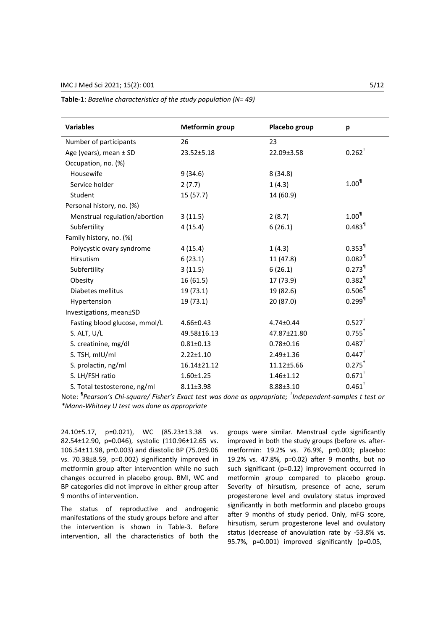| <b>Variables</b>              | <b>Metformin group</b> | Placebo group   | p                    |
|-------------------------------|------------------------|-----------------|----------------------|
| Number of participants        | 26                     | 23              |                      |
| Age (years), mean ± SD        | 23.52±5.18             | 22.09±3.58      | $0.262^+$            |
| Occupation, no. (%)           |                        |                 |                      |
| Housewife                     | 9(34.6)                | 8(34.8)         |                      |
| Service holder                | 2(7.7)                 | 1(4.3)          | $1.00^{1}$           |
| Student                       | 15(57.7)               | 14 (60.9)       |                      |
| Personal history, no. (%)     |                        |                 |                      |
| Menstrual regulation/abortion | 3(11.5)                | 2(8.7)          | $1.00^{1}$           |
| Subfertility                  | 4(15.4)                | 6(26.1)         | $0.483$ <sup>1</sup> |
| Family history, no. (%)       |                        |                 |                      |
| Polycystic ovary syndrome     | 4(15.4)                | 1(4.3)          | $0.353$ <sup>1</sup> |
| Hirsutism                     | 6(23.1)                | 11(47.8)        | $0.082$ <sup>1</sup> |
| Subfertility                  | 3(11.5)                | 6(26.1)         | $0.273$ <sup>1</sup> |
| Obesity                       | 16(61.5)               | 17 (73.9)       | $0.382^{11}$         |
| Diabetes mellitus             | 19 (73.1)              | 19 (82.6)       | $0.506$ <sup>1</sup> |
| Hypertension                  | 19(73.1)               | 20 (87.0)       | $0.299$ <sup>1</sup> |
| Investigations, mean±SD       |                        |                 |                      |
| Fasting blood glucose, mmol/L | $4.66 \pm 0.43$        | $4.74 \pm 0.44$ | $0.527$ <sup>+</sup> |
| S. ALT, U/L                   | 49.58±16.13            | 47.87±21.80     | $0.755^+$            |
| S. creatinine, mg/dl          | $0.81 \pm 0.13$        | $0.78 + 0.16$   | $0.487$ <sup>+</sup> |
| S. TSH, mIU/ml                | $2.22 \pm 1.10$        | $2.49 \pm 1.36$ | $0.447$ <sup>+</sup> |
| S. prolactin, ng/ml           | 16.14±21.12            | 11.12±5.66      | $0.275$ <sup>+</sup> |
| S. LH/FSH ratio               | $1.60 \pm 1.25$        | $1.46 \pm 1.12$ | $0.671$ <sup>+</sup> |
| S. Total testosterone, ng/ml  | $8.11 \pm 3.98$        | $8.88 \pm 3.10$ | $0.461$ <sup>+</sup> |

**Table-1**: *Baseline characteristics of the study population (N= 49)*

Note: *¶ Pearson's Chi-square/ Fisher's Exact test was done as appropriate; † Independent-samples t test or \*Mann-Whitney U test was done as appropriate*

24.10±5.17, p=0.021), WC (85.23±13.38 vs. 82.54±12.90, p=0.046), systolic (110.96±12.65 vs. 106.54±11.98, p=0.003) and diastolic BP (75.0±9.06 vs. 70.38±8.59, p=0.002) significantly improved in metformin group after intervention while no such changes occurred in placebo group. BMI, WC and BP categories did not improve in either group after 9 months of intervention.

The status of reproductive and androgenic manifestations of the study groups before and after the intervention is shown in Table-3. Before intervention, all the characteristics of both the groups were similar. Menstrual cycle significantly improved in both the study groups (before vs. aftermetformin: 19.2% vs. 76.9%, p=0.003; placebo: 19.2% vs. 47.8%, p=0.02) after 9 months, but no such significant (p=0.12) improvement occurred in metformin group compared to placebo group. Severity of hirsutism, presence of acne, serum progesterone level and ovulatory status improved significantly in both metformin and placebo groups after 9 months of study period. Only, mFG score, hirsutism, serum progesterone level and ovulatory status (decrease of anovulation rate by -53.8% vs. 95.7%, p=0.001) improved significantly (p=0.05,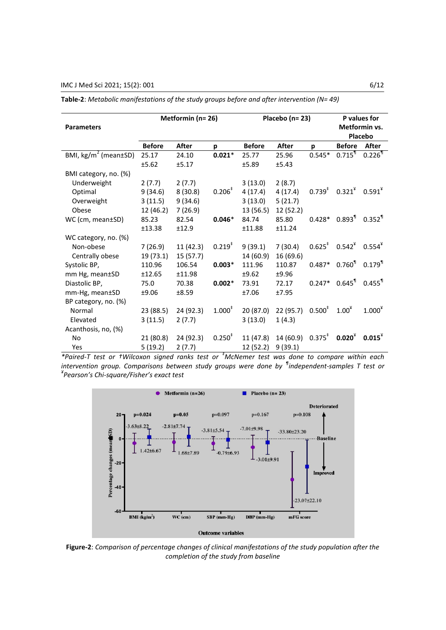|                                  | Metformin (n= 26) |           | Placebo (n=23)     |               |           | P values for<br>Metformin vs. |                                                              |                      |
|----------------------------------|-------------------|-----------|--------------------|---------------|-----------|-------------------------------|--------------------------------------------------------------|----------------------|
| <b>Parameters</b>                |                   |           |                    |               |           |                               |                                                              |                      |
|                                  |                   |           |                    |               |           |                               |                                                              | Placebo              |
|                                  | <b>Before</b>     | After     | p                  | <b>Before</b> | After     | p                             | <b>Before</b>                                                | After                |
| BMI, kg/m <sup>2</sup> (mean±SD) | 25.17             | 24.10     | $0.021*$           | 25.77         | 25.96     | $0.545*$                      | $0.715$ <sup>1</sup>                                         | $0.226$ <sup>1</sup> |
|                                  | ±5.62             | ±5.17     |                    | ±5.89         | ±5.43     |                               |                                                              |                      |
| BMI category, no. (%)            |                   |           |                    |               |           |                               |                                                              |                      |
| Underweight                      | 2(7.7)            | 2(7.7)    |                    | 3(13.0)       | 2(8.7)    |                               |                                                              |                      |
| Optimal                          | 9(34.6)           | 8(30.8)   | $0.206^*$          | 4(17.4)       | 4(17.4)   | $0.739^{*}$                   | $0.321^{4}$ $0.591^{4}$                                      |                      |
| Overweight                       | 3(11.5)           | 9(34.6)   |                    | 3(13.0)       | 5(21.7)   |                               |                                                              |                      |
| Obese                            | 12 (46.2)         | 7(26.9)   |                    | 13 (56.5)     | 12 (52.2) |                               |                                                              |                      |
| WC (cm, mean±SD)                 | 85.23             | 82.54     | $0.046*$           | 84.74         | 85.80     |                               | $0.428*0.8931$                                               | $0.352$ <sup>1</sup> |
|                                  | ±13.38            | ±12.9     |                    | ±11.88        | ±11.24    |                               |                                                              |                      |
| WC category, no. (%)             |                   |           |                    |               |           |                               |                                                              |                      |
| Non-obese                        | 7(26.9)           | 11(42.3)  | $0.219^{t}$        | 9(39.1)       | 7(30.4)   |                               | $0.625^{\ddagger}$ 0.542 <sup><math>\textdegree</math></sup> | $0.554^{*}$          |
| Centrally obese                  | 19(73.1)          | 15(57.7)  |                    | 14 (60.9)     | 16(69.6)  |                               |                                                              |                      |
| Systolic BP,                     | 110.96            | 106.54    | $0.003*$           | 111.96        | 110.87    | $0.487*$                      | $0.760$ <sup>1</sup>                                         | $0.179$ <sup>1</sup> |
| mm Hg, mean±SD                   | ±12.65            | ±11.98    |                    | ±9.62         | ±9.96     |                               |                                                              |                      |
| Diastolic BP,                    | 75.0              | 70.38     | $0.002*$           | 73.91         | 72.17     |                               | $0.247*0.6459$                                               | $0.455$ <sup>1</sup> |
| mm-Hg, mean±SD                   | ±9.06             | ±8.59     |                    | ±7.06         | ±7.95     |                               |                                                              |                      |
| BP category, no. (%)             |                   |           |                    |               |           |                               |                                                              |                      |
| Normal                           | 23 (88.5)         | 24 (92.3) | $1.000^*$          | 20 (87.0)     | 22(95.7)  | $0.500^{\ddagger}$            | $1.00*$                                                      | $1.000^*$            |
| Elevated                         | 3(11.5)           | 2(7.7)    |                    | 3(13.0)       | 1(4.3)    |                               |                                                              |                      |
| Acanthosis, no, (%)              |                   |           |                    |               |           |                               |                                                              |                      |
| <b>No</b>                        | 21 (80.8)         | 24 (92.3) | $0.250^{\ddagger}$ | 11(47.8)      | 14(60.9)  | $0.375^*$                     | $0.020^*$                                                    | $0.015^*$            |
| Yes                              | 5(19.2)           | 2(7.7)    |                    | 12 (52.2)     | 9(39.1)   |                               |                                                              |                      |

**Table-2**: *Metabolic manifestations of the study groups before and after intervention (N= 49)*

*\*Paired-T test or †Wilcoxon signed ranks test or ‡McNemer test was done to compare within each intervention group. Comparisons between study groups were done by ¶ independent-samples T test or ¥ Pearson's Chi-square/Fisher's exact test*



**Figure-2**: *Comparison of percentage changes of clinical manifestations of the study population after the completion of the study from baseline*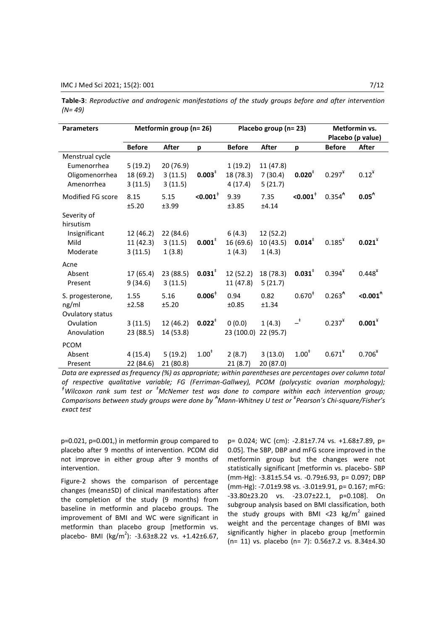| <b>Parameters</b> | Metformin group (n= 26) |              | Placebo group (n= 23)  |               |              | Metformin vs.          |               |                   |
|-------------------|-------------------------|--------------|------------------------|---------------|--------------|------------------------|---------------|-------------------|
|                   |                         |              |                        |               |              |                        |               | Placebo (p value) |
|                   | <b>Before</b>           | <b>After</b> | p                      | <b>Before</b> | <b>After</b> | p                      | <b>Before</b> | After             |
| Menstrual cycle   |                         |              |                        |               |              |                        |               |                   |
| Eumenorrhea       | 5(19.2)                 | 20 (76.9)    |                        | 1(19.2)       | 11 (47.8)    |                        |               |                   |
| Oligomenorrhea    | 18 (69.2)               | 3(11.5)      | 0.003 <sup>‡</sup>     | 18 (78.3)     | 7(30.4)      | $0.020^{t}$            | $0.297^{*}$   | $0.12^{4}$        |
| Amenorrhea        | 3(11.5)                 | 3(11.5)      |                        | 4(17.4)       | 5(21.7)      |                        |               |                   |
| Modified FG score | 8.15                    | 5.15         | $< 0.001$ <sup>†</sup> | 9.39          | 7.35         | $<$ 0.001 $^{\dagger}$ | $0.354^{*}$   | 0.05 <sup>4</sup> |
|                   | ±5.20                   | ±3.99        |                        | ±3.85         | ±4.14        |                        |               |                   |
| Severity of       |                         |              |                        |               |              |                        |               |                   |
| hirsutism         |                         |              |                        |               |              |                        |               |                   |
| Insignificant     | 12 (46.2)               | 22 (84.6)    |                        | 6(4.3)        | 12 (52.2)    |                        |               |                   |
| Mild              | 11(42.3)                | 3(11.5)      | $0.001$ <sup>#</sup>   | 16 (69.6)     | 10(43.5)     | $0.014$ <sup>†</sup>   | $0.185^{4}$   | $0.021^*$         |
| Moderate          | 3(11.5)                 | 1(3.8)       |                        | 1(4.3)        | 1(4.3)       |                        |               |                   |
| Acne              |                         |              |                        |               |              |                        |               |                   |
| Absent            | 17(65.4)                | 23 (88.5)    | $0.031^{\ddagger}$     | 12 (52.2)     | 18 (78.3)    | $0.031$ <sup>‡</sup>   | $0.394*$      | $0.448*$          |
| Present           | 9(34.6)                 | 3(11.5)      |                        | 11 (47.8)     | 5(21.7)      |                        |               |                   |
| S. progesterone,  | 1.55                    | 5.16         | $0.006^{\dagger}$      | 0.94          | 0.82         | $0.670^{*}$            | $0.263^{*}$   | $< 0.001^*$       |
| ng/ml             | ±2.58                   | ±5.20        |                        | ±0.85         | ±1.34        |                        |               |                   |
| Ovulatory status  |                         |              |                        |               |              |                        |               |                   |
| Ovulation         | 3(11.5)                 | 12(46.2)     | $0.022$ <sup>‡</sup>   | 0(0.0)        | 1(4.3)       | $-^{\ddagger}$         | $0.237^{4}$   | $0.001^*$         |
| Anovulation       | 23 (88.5)               | 14 (53.8)    |                        | 23 (100.0)    | 22(95.7)     |                        |               |                   |
|                   |                         |              |                        |               |              |                        |               |                   |
| <b>PCOM</b>       |                         |              |                        |               |              |                        |               |                   |
| Absent            | 4 (15.4)                | 5(19.2)      | $1.00^{\ddagger}$      | 2(8.7)        | 3(13.0)      | $1.00^{\ddagger}$      | $0.671^*$     | $0.706^{*}$       |
| Present           | 22 (84.6)               | 21(80.8)     |                        | 21(8.7)       | 20 (87.0)    |                        |               |                   |

**Table-3**: *Reproductive and androgenic manifestations of the study groups before and after intervention (N= 49)*

*Data are expressed as frequency (%) as appropriate; within parentheses are percentages over column total of respective qualitative variable; FG (Ferriman-Gallwey), PCOM (polycystic ovarian morphology); <sup>ǂ</sup>Wilcoxon rank sum test or ‡McNemer test was done to compare within each intervention group; Comparisons between study groups were done by ₳Mann-Whitney U test or ¥ Pearson's Chi-square/Fisher's exact test*

p=0.021, p=0.001,) in metformin group compared to placebo after 9 months of intervention. PCOM did not improve in either group after 9 months of intervention.

Figure-2 shows the comparison of percentage changes (mean±SD) of clinical manifestations after the completion of the study (9 months) from baseline in metformin and placebo groups. The improvement of BMI and WC were significant in metformin than placebo group [metformin vs. placebo- BMI (kg/m<sup>2</sup>): -3.63±8.22 vs. +1.42±6.67,

p= 0.024; WC (cm): -2.81±7.74 vs. +1.68±7.89, p= 0.05]. The SBP, DBP and mFG score improved in the metformin group but the changes were not statistically significant [metformin vs. placebo- SBP (mm-Hg): -3.81±5.54 vs. -0.79±6.93, p= 0.097; DBP (mm-Hg): -7.01±9.98 vs. -3.01±9.91, p= 0.167; mFG: -33.80±23.20 vs. -23.07±22.1, p=0.108]. On subgroup analysis based on BMI classification, both the study groups with BMI <23  $\text{kg/m}^2$  gained weight and the percentage changes of BMI was significantly higher in placebo group [metformin (n= 11) vs. placebo (n= 7): 0.56±7.2 vs. 8.34±4.30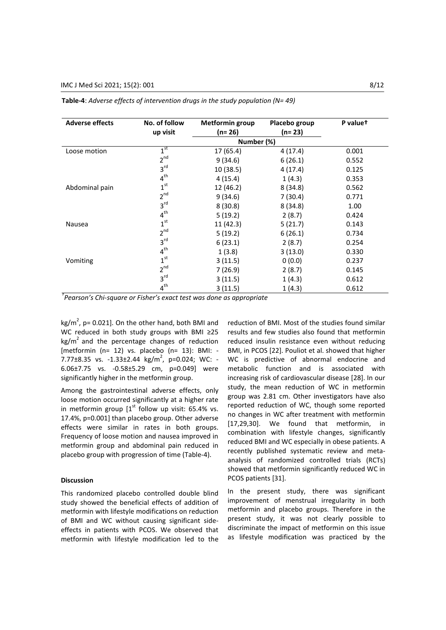| <b>Adverse effects</b> | No. of follow   | <b>Metformin group</b> | Placebo group | P valuet |
|------------------------|-----------------|------------------------|---------------|----------|
|                        | up visit        | (n= 26)                | (n= 23)       |          |
|                        |                 | Number (%)             |               |          |
| Loose motion           | 1 <sup>st</sup> | 17 (65.4)              | 4(17.4)       | 0.001    |
|                        | $2^{nd}$        | 9(34.6)                | 6(26.1)       | 0.552    |
|                        | 3 <sup>rd</sup> | 10(38.5)               | 4 (17.4)      | 0.125    |
|                        | 4 <sup>th</sup> | 4(15.4)                | 1(4.3)        | 0.353    |
| Abdominal pain         | 1 <sup>st</sup> | 12 (46.2)              | 8(34.8)       | 0.562    |
|                        | $2^{nd}$        | 9(34.6)                | 7(30.4)       | 0.771    |
|                        | 3 <sup>rd</sup> | 8(30.8)                | 8(34.8)       | 1.00     |
|                        | 4 <sup>th</sup> | 5(19.2)                | 2(8.7)        | 0.424    |
| Nausea                 | 1 <sup>st</sup> | 11 (42.3)              | 5(21.7)       | 0.143    |
|                        | $2^{nd}$        | 5(19.2)                | 6(26.1)       | 0.734    |
|                        | 3 <sup>rd</sup> | 6(23.1)                | 2(8.7)        | 0.254    |
|                        | 4 <sup>th</sup> | 1(3.8)                 | 3(13.0)       | 0.330    |
| Vomiting               | 1 <sup>st</sup> | 3(11.5)                | 0(0.0)        | 0.237    |
|                        | $2^{nd}$        | 7 (26.9)               | 2(8.7)        | 0.145    |
|                        | 3 <sup>rd</sup> | 3(11.5)                | 1(4.3)        | 0.612    |
|                        | $4^{\text{th}}$ | 3(11.5)                | 1(4.3)        | 0.612    |

|  |  | <b>Table-4</b> : Adverse effects of intervention drugs in the study population ( $N = 49$ ) |
|--|--|---------------------------------------------------------------------------------------------|
|--|--|---------------------------------------------------------------------------------------------|

*† Pearson's Chi-square or Fisher's exact test was done as appropriate*

kg/m<sup>2</sup>, p= 0.021]. On the other hand, both BMI and WC reduced in both study groups with BMI ≥25  $kg/m<sup>2</sup>$  and the percentage changes of reduction [metformin (n= 12) vs. placebo (n= 13): BMI: - 7.77 $\pm$ 8.35 vs. -1.33 $\pm$ 2.44 kg/m<sup>2</sup>, p=0.024; WC: -6.06±7.75 vs. -0.58±5.29 cm, p=0.049] were significantly higher in the metformin group.

Among the gastrointestinal adverse effects, only loose motion occurred significantly at a higher rate in metformin group  $[1<sup>st</sup>$  follow up visit: 65.4% vs. 17.4%, p=0.001] than placebo group. Other adverse effects were similar in rates in both groups. Frequency of loose motion and nausea improved in metformin group and abdominal pain reduced in placebo group with progression of time (Table-4).

# **Discussion**

This randomized placebo controlled double blind study showed the beneficial effects of addition of metformin with lifestyle modifications on reduction of BMI and WC without causing significant sideeffects in patients with PCOS. We observed that metformin with lifestyle modification led to the reduction of BMI. Most of the studies found similar results and few studies also found that metformin reduced insulin resistance even without reducing BMI, in PCOS [22]. Pouliot et al. showed that higher WC is predictive of abnormal endocrine and metabolic function and is associated with increasing risk of cardiovascular disease [28]. In our study, the mean reduction of WC in metformin group was 2.81 cm. Other investigators have also reported reduction of WC, though some reported no changes in WC after treatment with metformin [17,29,30]. We found that metformin, in combination with lifestyle changes, significantly reduced BMI and WC especially in obese patients. A recently published systematic review and metaanalysis of randomized controlled trials (RCTs) showed that metformin significantly reduced WC in PCOS patients [31].

In the present study, there was significant improvement of menstrual irregularity in both metformin and placebo groups. Therefore in the present study, it was not clearly possible to discriminate the impact of metformin on this issue as lifestyle modification was practiced by the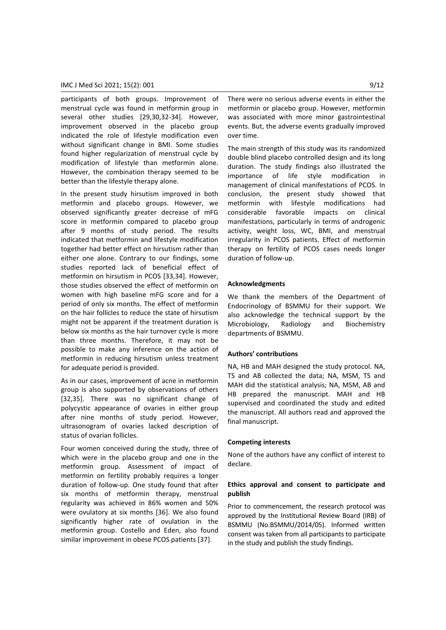participants of both groups. Improvement of menstrual cycle was found in metformin group in several other studies [29,30,32-34]. However, improvement observed in the placebo group indicated the role of lifestyle modification even without significant change in BMI. Some studies found higher regularization of menstrual cycle by modification of lifestyle than metformin alone. However, the combination therapy seemed to be better than the lifestyle therapy alone.

In the present study hirsutism improved in both metformin and placebo groups. However, we observed significantly greater decrease of mFG score in metformin compared to placebo group after 9 months of study period. The results indicated that metformin and lifestyle modification together had better effect on hirsutism rather than either one alone. Contrary to our findings, some studies reported lack of beneficial effect of metformin on hirsutism in PCOS [33,34]. However, those studies observed the effect of metformin on women with high baseline mFG score and for a period of only six months. The effect of metformin on the hair follicles to reduce the state of hirsutism might not be apparent if the treatment duration is below six months as the hair turnover cycle is more than three months. Therefore, it may not be possible to make any inference on the action of metformin in reducing hirsutism unless treatment for adequate period is provided.

As in our cases, improvement of acne in metformin group is also supported by observations of others [32,35]. There was no significant change of polycystic appearance of ovaries in either group after nine months of study period. However, ultrasonogram of ovaries lacked description of status of ovarian follicles.

Four women conceived during the study, three of which were in the placebo group and one in the metformin group. Assessment of impact of metformin on fertility probably requires a longer duration of follow-up. One study found that after six months of metformin therapy, menstrual regularity was achieved in 86% women and 50% were ovulatory at six months [36]. We also found significantly higher rate of ovulation in the metformin group. Costello and Eden, also found similar improvement in obese PCOS patients [37].

There were no serious adverse events in either the metformin or placebo group. However, metformin was associated with more minor gastrointestinal events. But, the adverse events gradually improved over time.

The main strength of this study was its randomized double blind placebo controlled design and its long duration. The study findings also illustrated the importance of life style modification in management of clinical manifestations of PCOS. In conclusion, the present study showed that metformin with lifestyle modifications had considerable favorable impacts on clinical manifestations, particularly in terms of androgenic activity, weight loss, WC, BMI, and menstrual irregularity in PCOS patients. Effect of metformin therapy on fertility of PCOS cases needs longer duration of follow-up.

### **Acknowledgments**

We thank the members of the Department of Endocrinology of BSMMU for their support. We also acknowledge the technical support by the Microbiology, Radiology and Biochemistry departments of BSMMU.

#### **Authors' contributions**

NA, HB and MAH designed the study protocol. NA, TS and AB collected the data; NA, MSM, TS and MAH did the statistical analysis; NA, MSM, AB and HB prepared the manuscript. MAH and HB supervised and coordinated the study and edited the manuscript. All authors read and approved the final manuscript.

#### **Competing interests**

None of the authors have any conflict of interest to declare.

# **Ethics approval and consent to participate and publish**

Prior to commencement, the research protocol was approved by the Institutional Review Board (IRB) of BSMMU (No.BSMMU/2014/05). Informed written consent was taken from all participants to participate in the study and publish the study findings.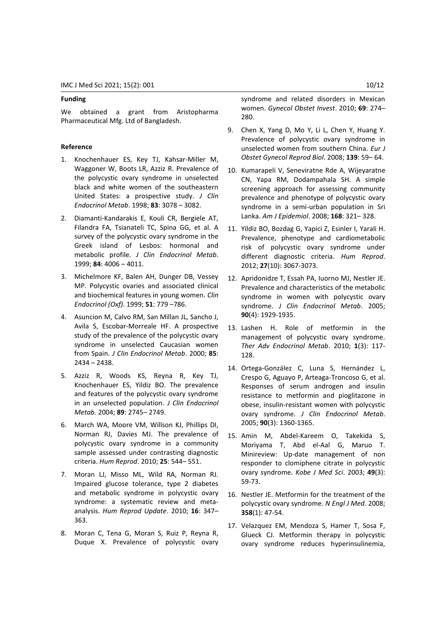#### **Funding**

We obtained a grant from Aristopharma Pharmaceutical Mfg. Ltd of Bangladesh.

# **Reference**

- 1. Knochenhauer ES, Key TJ, Kahsar-Miller M, Waggoner W, Boots LR, Azziz R. Prevalence of the polycystic ovary syndrome in unselected black and white women of the southeastern United States: a prospective study. *J Clin Endocrinol Metab*. 1998; **83**: 3078 – 3082.
- 2. Diamanti-Kandarakis E, Kouli CR, Bergiele AT, Filandra FA, Tsianateli TC, Spina GG, et al. A survey of the polycystic ovary syndrome in the Greek island of Lesbos: hormonal and metabolic profile. *J Clin Endocrinol Metab*. 1999; **84**: 4006 – 4011.
- 3. Michelmore KF, Balen AH, Dunger DB, Vessey MP. Polycystic ovaries and associated clinical and biochemical features in young women. *Clin Endocrinol (Oxf)*. 1999; **51**: 779 –786.
- 4. Asuncion M, Calvo RM, San Millan JL, Sancho J, Avila S, Escobar-Morreale HF. A prospective study of the prevalence of the polycystic ovary syndrome in unselected Caucasian women from Spain. *J Clin Endocrinol Metab*. 2000; **85**: 2434 – 2438.
- 5. Azziz R, Woods KS, Reyna R, Key TJ, Knochenhauer ES, Yildiz BO. The prevalence and features of the polycystic ovary syndrome in an unselected population. *J Clin Endocrinol Metab.* 2004; **89**: 2745– 2749.
- 6. March WA, Moore VM, Willson KJ, Phillips DI, Norman RJ, Davies MJ. The prevalence of polycystic ovary syndrome in a community sample assessed under contrasting diagnostic criteria. *Hum Reprod*. 2010; **25**: 544– 551.
- 7. Moran LJ, Misso ML, Wild RA, Norman RJ. Impaired glucose tolerance, type 2 diabetes and metabolic syndrome in polycystic ovary syndrome: a systematic review and metaanalysis. *Hum Reprod Update*. 2010; **16**: 347– 363.
- 8. Moran C, Tena G, Moran S, Ruiz P, Reyna R, Duque X. Prevalence of polycystic ovary

syndrome and related disorders in Mexican women. *Gynecol Obstet Invest*. 2010; **69**: 274– 280.

- 9. Chen X, Yang D, Mo Y, Li L, Chen Y, Huang Y. Prevalence of polycystic ovary syndrome in unselected women from southern China. *Eur J Obstet Gynecol Reprod Biol*. 2008; **139**: 59– 64.
- 10. Kumarapeli V, Seneviratne Rde A, Wijeyaratne CN, Yapa RM, Dodampahala SH. A simple screening approach for assessing community prevalence and phenotype of polycystic ovary syndrome in a semi-urban population in Sri Lanka. *Am J Epidemiol*. 2008; **168**: 321– 328.
- 11. Yildiz BO, Bozdag G, Yapici Z, Esinler I, Yarali H. Prevalence, phenotype and cardiometabolic risk of polycystic ovary syndrome under different diagnostic criteria. *Hum Reprod*. 2012; **27**(10): 3067-3073.
- 12. Apridonidze T, Essah PA, Iuorno MJ, Nestler JE. Prevalence and characteristics of the metabolic syndrome in women with polycystic ovary syndrome. *J Clin Endocrinol Metab*. 2005; **90**(4): 1929-1935.
- 13. Lashen H. Role of metformin in the management of polycystic ovary syndrome. *Ther Adv Endocrinol Metab*. 2010; **1**(3): 117- 128.
- 14. Ortega-González C, Luna S, Hernández L, Crespo G, Aguayo P, Arteaga-Troncoso G, et al. Responses of serum androgen and insulin resistance to metformin and pioglitazone in obese, insulin-resistant women with polycystic ovary syndrome. *J Clin Endocrinol Metab*. 2005; **90**(3): 1360-1365.
- 15. Amin M, Abdel-Kareem O, Takekida S, Moriyama T, Abd el-Aal G, Maruo T. Minireview: Up-date management of non responder to clomiphene citrate in polycystic ovary syndrome. *Kobe J Med Sci*. 2003; **49**(3): 59-73.
- 16. Nestler JE. Metformin for the treatment of the polycystic ovary syndrome. *N Engl J Med.* 2008; **358**(1): 47-54.
- 17. Velazquez EM, Mendoza S, Hamer T, Sosa F, Glueck CJ. Metformin therapy in polycystic ovary syndrome reduces hyperinsulinemia,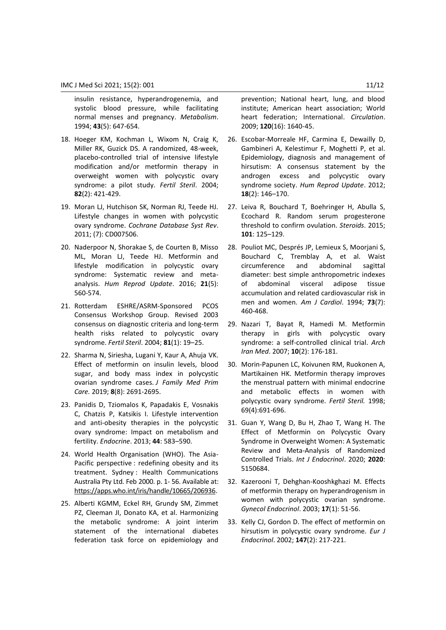insulin resistance, hyperandrogenemia, and systolic blood pressure, while facilitating normal menses and pregnancy. *Metabolism*. 1994; **43**(5): 647-654.

- 18. Hoeger KM, Kochman L, Wixom N, Craig K, Miller RK, Guzick DS. A randomized, 48-week, placebo-controlled trial of intensive lifestyle modification and/or metformin therapy in overweight women with polycystic ovary syndrome: a pilot study. *Fertil Steril*. 2004; **82**(2): 421-429.
- 19. Moran LJ, Hutchison SK, Norman RJ, Teede HJ. Lifestyle changes in women with polycystic ovary syndrome. *Cochrane Database Syst Rev*. 2011; (7): CD007506.
- 20. Naderpoor N, Shorakae S, de Courten B, Misso ML, Moran LJ, Teede HJ. Metformin and lifestyle modification in polycystic ovary syndrome: Systematic review and metaanalysis. *Hum Reprod Update*. 2016; **21**(5): 560-574.
- 21. Rotterdam ESHRE/ASRM-Sponsored PCOS Consensus Workshop Group. Revised 2003 consensus on diagnostic criteria and long-term health risks related to polycystic ovary syndrome. *Fertil Steril*. 2004; **81**(1): 19–25.
- 22. Sharma N, Siriesha, Lugani Y, Kaur A, Ahuja VK. Effect of metformin on insulin levels, blood sugar, and body mass index in polycystic ovarian syndrome cases. *J Family Med Prim Care.* 2019; **8**(8): 2691-2695.
- 23. Panidis D, Tziomalos K, Papadakis E, Vosnakis C, Chatzis P, Katsikis I. Lifestyle intervention and anti-obesity therapies in the polycystic ovary syndrome: Impact on metabolism and fertility. *Endocrine*. 2013; **44**: 583–590.
- 24. World Health Organisation (WHO). The Asia-Pacific perspective : redefining obesity and its treatment. Sydney : Health Communications Australia Pty Ltd. Feb 2000. p. 1- 56. Available at: [https://apps.who.int/iris/handle/10665/206936.](https://apps.who.int/iris/handle/10665/206936)
- 25. Alberti KGMM, Eckel RH, Grundy SM, Zimmet PZ, Cleeman JI, Donato KA, et al. Harmonizing the metabolic syndrome: A joint interim statement of the international diabetes federation task force on epidemiology and

prevention; National heart, lung, and blood institute; American heart association; World heart federation; International. *Circulation*. 2009; **120**(16): 1640-45.

- 26. Escobar-Morreale HF, Carmina E, Dewailly D, Gambineri A, Kelestimur F, Moghetti P, et al. Epidemiology, diagnosis and management of hirsutism: A consensus statement by the androgen excess and polycystic ovary syndrome society. *Hum Reprod Update*. 2012; **18**(2): 146–170.
- 27. Leiva R, Bouchard T, Boehringer H, Abulla S, Ecochard R. Random serum progesterone threshold to confirm ovulation. *Steroids*. 2015; **101**: 125–129.
- 28. Pouliot MC, Després JP, Lemieux S, Moorjani S, Bouchard C, Tremblay A, et al. Waist circumference and abdominal sagittal diameter: best simple anthropometric indexes of abdominal visceral adipose tissue accumulation and related cardiovascular risk in men and women. *Am J Cardiol*. 1994; **73**(7): 460-468.
- 29. Nazari T, Bayat R, Hamedi M. Metformin therapy in girls with polycystic ovary syndrome: a self-controlled clinical trial. *Arch Iran Med*. 2007; **10**(2): 176-181.
- 30. Morin-Papunen LC, Koivunen RM, Ruokonen A, Martikainen HK. Metformin therapy improves the menstrual pattern with minimal endocrine and metabolic effects in women with polycystic ovary syndrome. *Fertil Steril.* 1998; 69(4):691-696.
- 31. Guan Y, Wang D, Bu H, Zhao T, Wang H. The Effect of Metformin on Polycystic Ovary Syndrome in Overweight Women: A Systematic Review and Meta-Analysis of Randomized Controlled Trials. *Int J Endocrinol*. 2020; **2020**: 5150684.
- 32. Kazerooni T, Dehghan-Kooshkghazi M. Effects of metformin therapy on hyperandrogenism in women with polycystic ovarian syndrome. *Gynecol Endocrinol*. 2003; **17**(1): 51-56.
- 33. Kelly CJ, Gordon D. The effect of metformin on hirsutism in polycystic ovary syndrome. *Eur J Endocrinol*. 2002; **147**(2): 217-221.